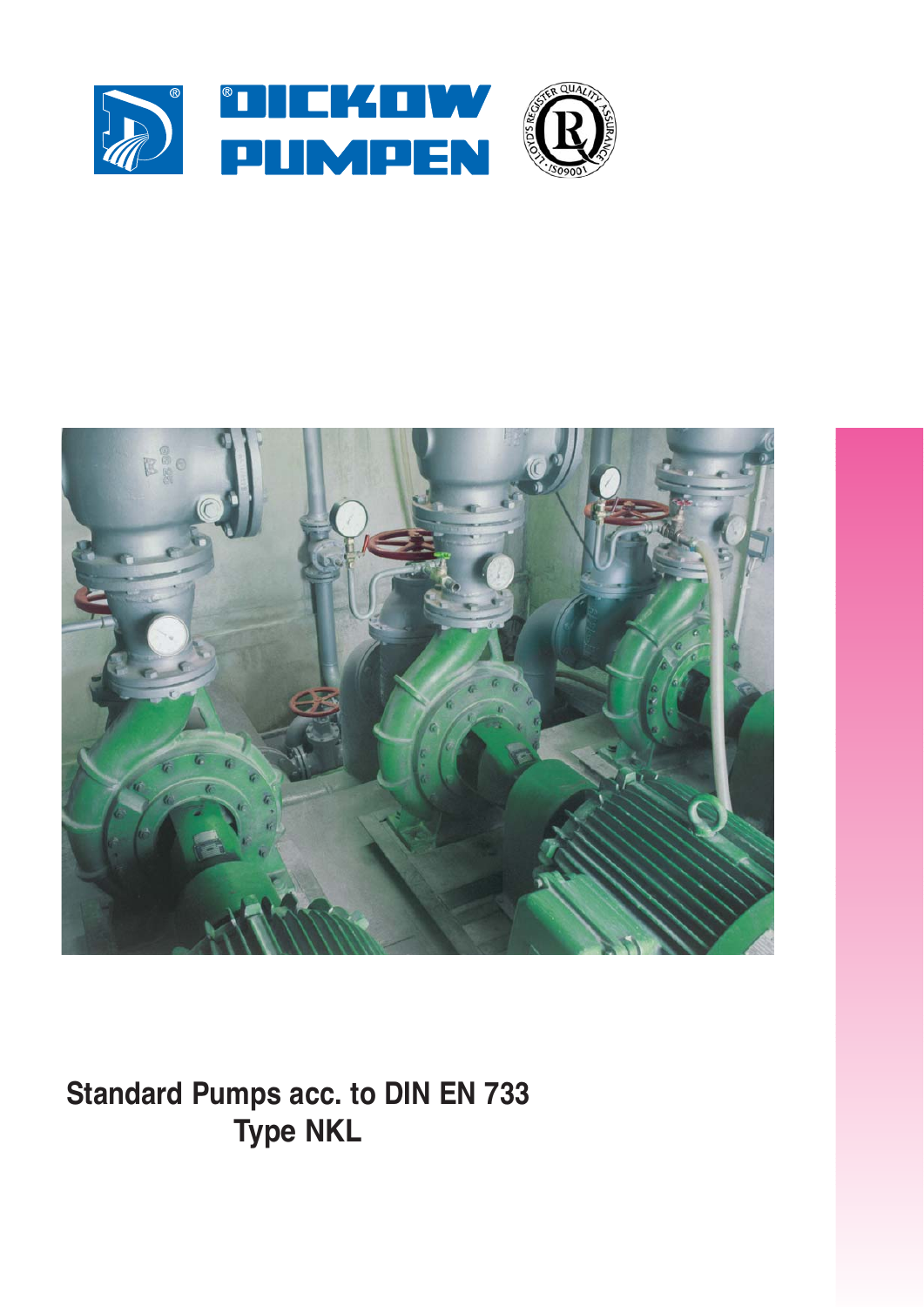



**Standard Pumps acc. to DIN EN 733 Type NKL**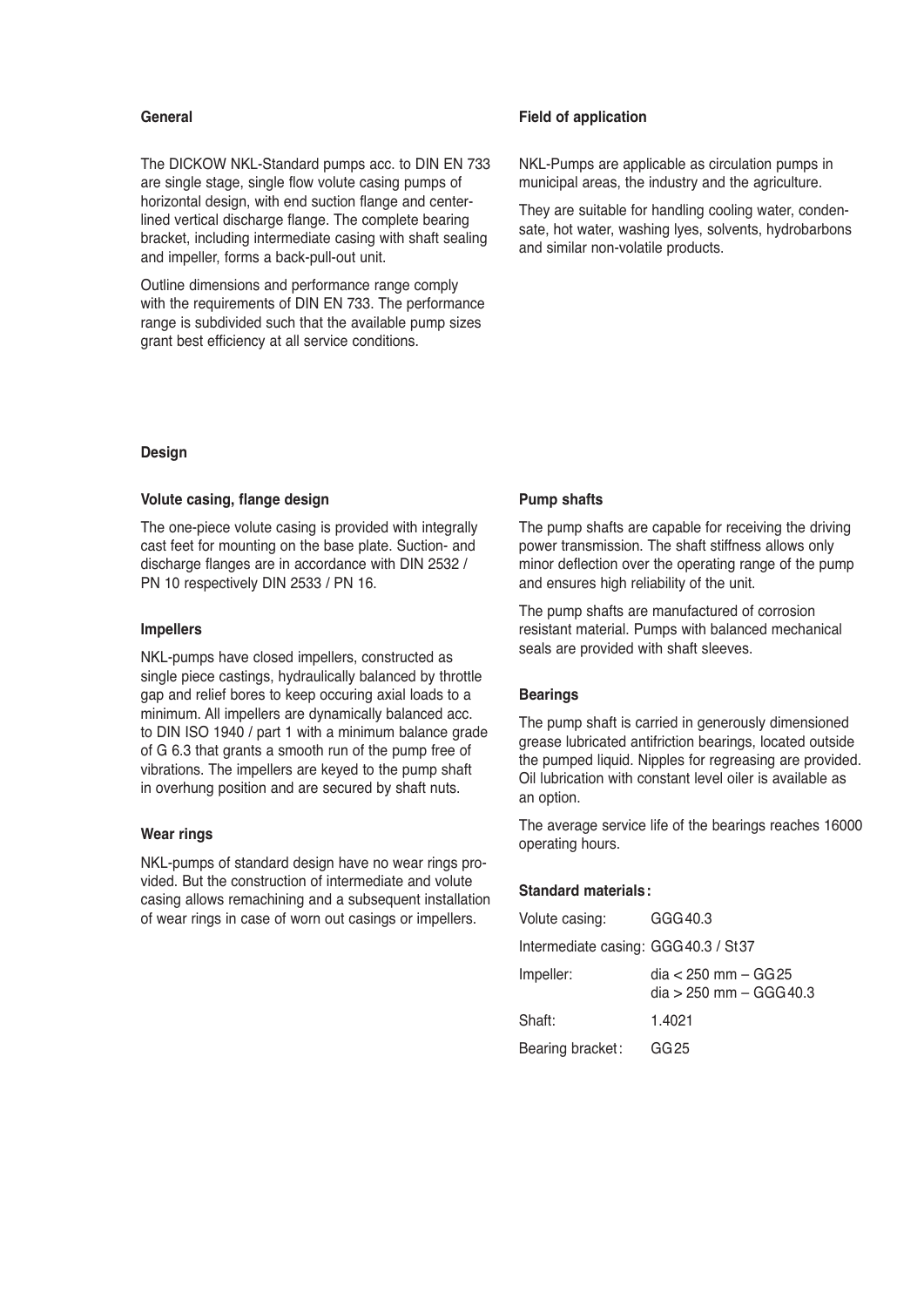## **General**

The DICKOW NKL-Standard pumps acc. to DIN EN 733 are single stage, single flow volute casing pumps of horizontal design, with end suction flange and centerlined vertical discharge flange. The complete bearing bracket, including intermediate casing with shaft sealing and impeller, forms a back-pull-out unit.

Outline dimensions and performance range comply with the requirements of DIN EN 733. The performance range is subdivided such that the available pump sizes grant best efficiency at all service conditions.

## **Design**

### **Volute casing, flange design**

The one-piece volute casing is provided with integrally cast feet for mounting on the base plate. Suction- and discharge flanges are in accordance with DIN 2532 / PN 10 respectively DIN 2533 / PN 16.

#### **Impellers**

NKL-pumps have closed impellers, constructed as single piece castings, hydraulically balanced by throttle gap and relief bores to keep occuring axial loads to a minimum. All impellers are dynamically balanced acc. to DIN ISO 1940 / part 1 with a minimum balance grade of G 6.3 that grants a smooth run of the pump free of vibrations. The impellers are keyed to the pump shaft in overhung position and are secured by shaft nuts.

#### **Wear rings**

NKL-pumps of standard design have no wear rings provided. But the construction of intermediate and volute casing allows remachining and a subsequent installation of wear rings in case of worn out casings or impellers.

## **Field of application**

NKL-Pumps are applicable as circulation pumps in municipal areas, the industry and the agriculture.

They are suitable for handling cooling water, condensate, hot water, washing lyes, solvents, hydrobarbons and similar non-volatile products.

## **Pump shafts**

The pump shafts are capable for receiving the driving power transmission. The shaft stiffness allows only minor deflection over the operating range of the pump and ensures high reliability of the unit.

The pump shafts are manufactured of corrosion resistant material. Pumps with balanced mechanical seals are provided with shaft sleeves.

## **Bearings**

The pump shaft is carried in generously dimensioned grease lubricated antifriction bearings, located outside the pumped liquid. Nipples for regreasing are provided. Oil lubrication with constant level oiler is available as an option.

The average service life of the bearings reaches 16000 operating hours.

# **Standard materials:**

| Volute casing:                       | GGG40.3                                             |
|--------------------------------------|-----------------------------------------------------|
| Intermediate casing: GGG 40.3 / St37 |                                                     |
| Impeller:                            | dia < 250 mm – GG 25<br>$dia > 250$ mm $-$ GGG 40.3 |
| Shaft:                               | 1.4021                                              |
| Bearing bracket:                     | GG 25                                               |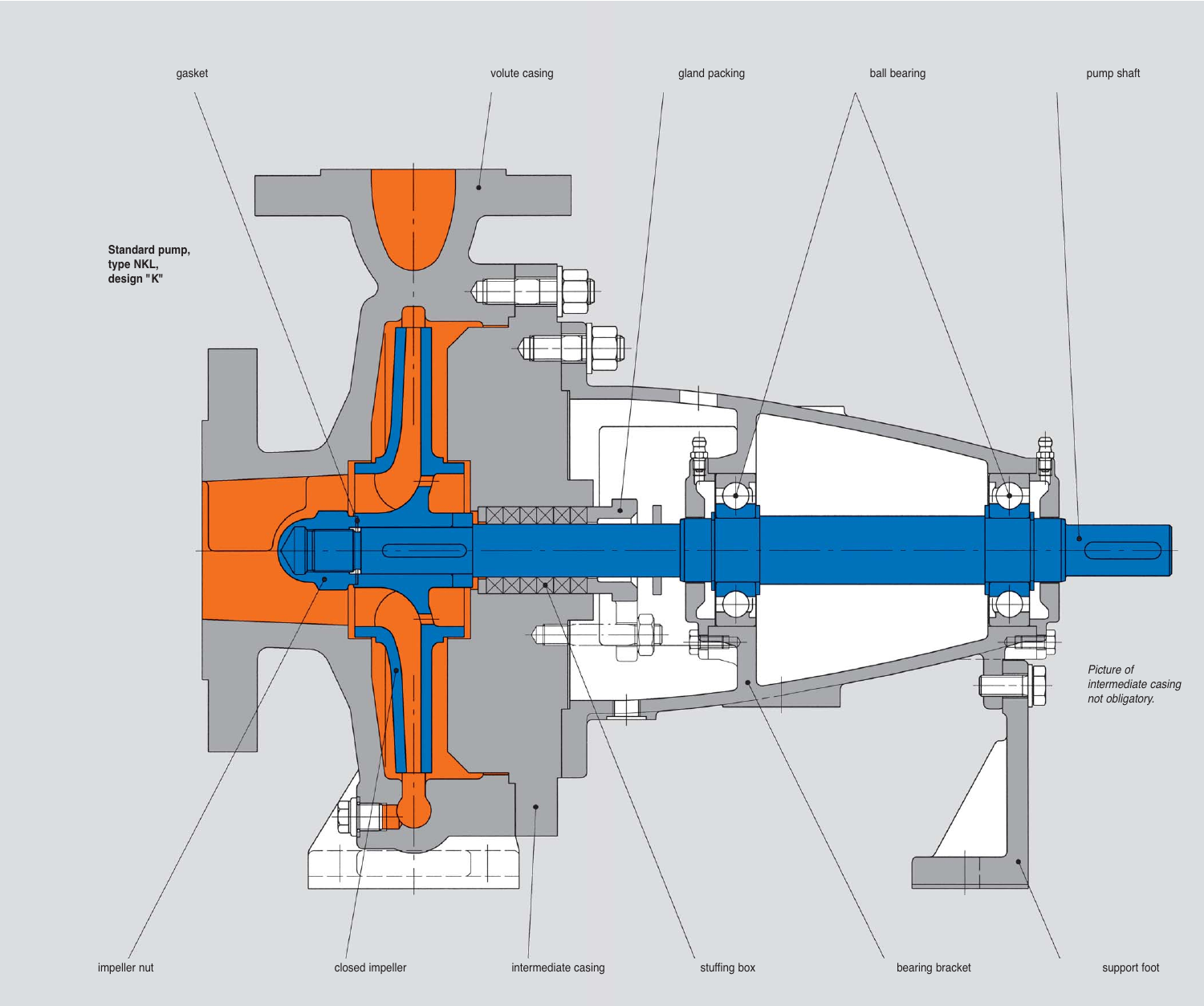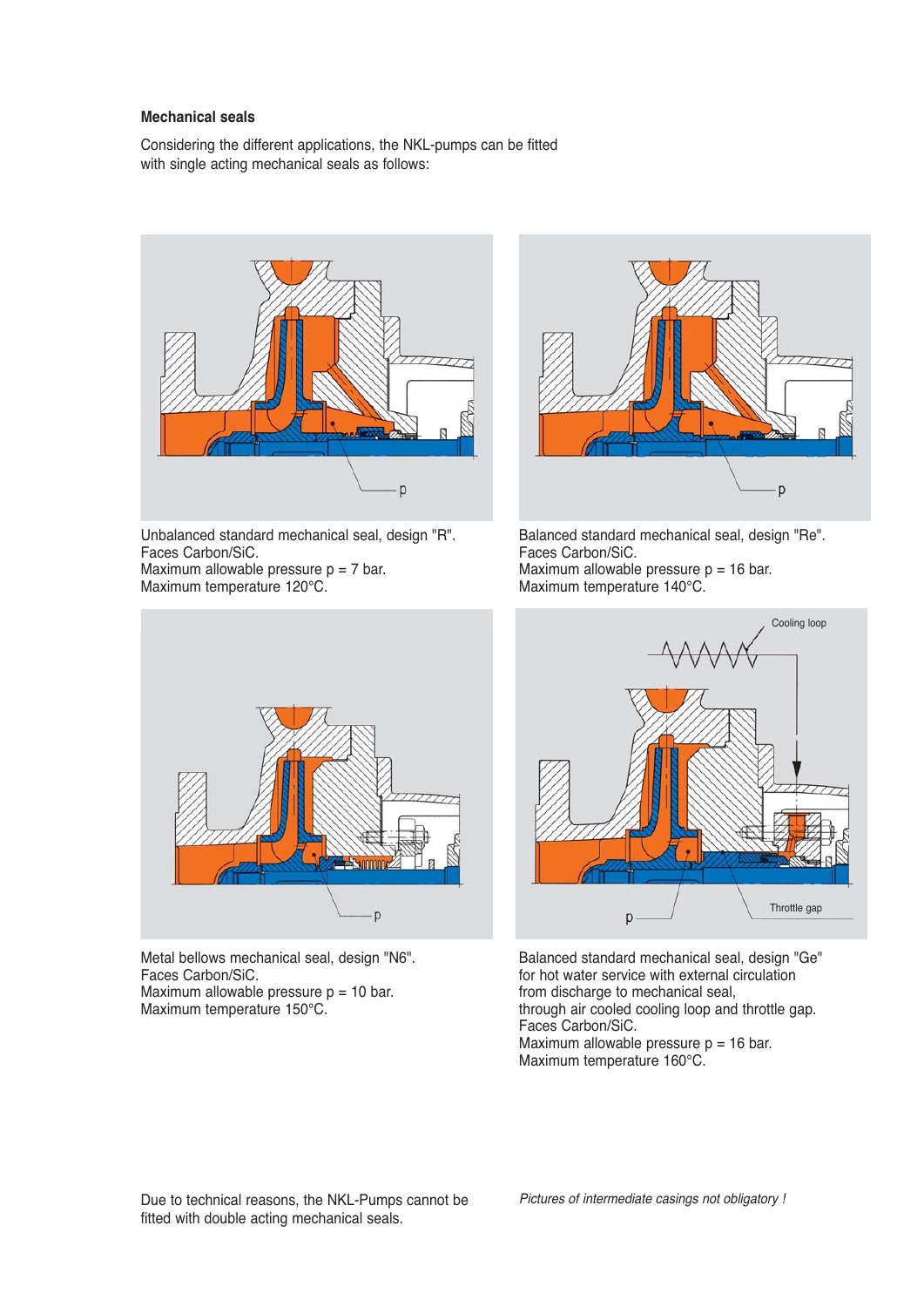# **Mechanical seals**

Considering the different applications, the NKL-pumps can be fitted with single acting mechanical seals as follows:



Unbalanced standard mechanical seal, design "R". Faces Carbon/SiC. Maximum allowable pressure  $p = 7$  bar. Maximum temperature 120°C.



Balanced standard mechanical seal, design "Re". Faces Carbon/SiC. Maximum allowable pressure  $p = 16$  bar. Maximum temperature 140°C.



Metal bellows mechanical seal, design "N6". Faces Carbon/SiC. Maximum allowable pressure  $p = 10$  bar. Maximum temperature 150°C.



Balanced standard mechanical seal, design "Ge" for hot water service with external circulation from discharge to mechanical seal, through air cooled cooling loop and throttle gap. Faces Carbon/SiC. Maximum allowable pressure  $p = 16$  bar. Maximum temperature 160°C.